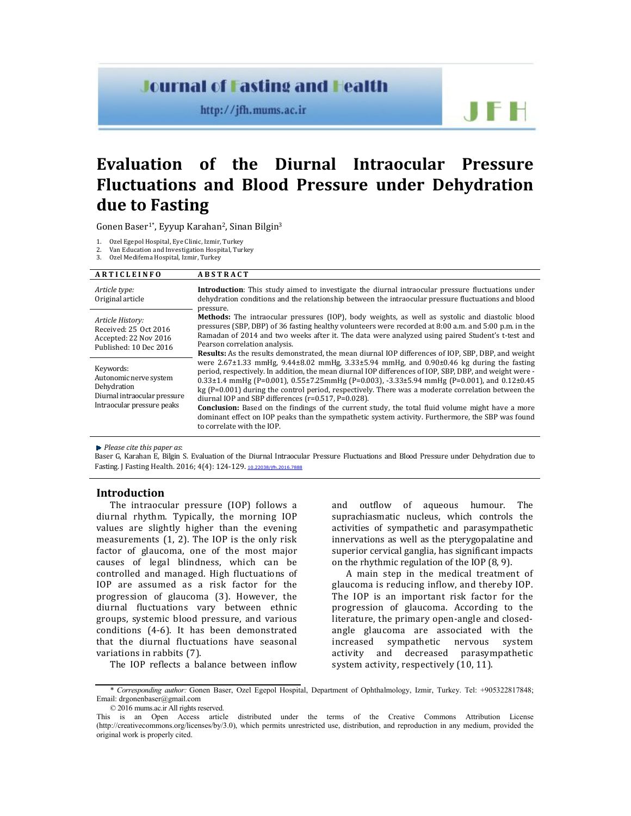## **Journal of Fasting and Health**

http://jfh.mums.ac.ir

# JF H

## **Evaluation of the Diurnal Intraocular Pressure Fluctuations and Blood Pressure under Dehydration due to Fasting**

Gonen Baser<sup>1\*</sup>, Eyyup Karahan<sup>2</sup>, Sinan Bilgin<sup>3</sup>

1. Ozel Egepol Hospital, Eye Clinic, Izmir, Turkey

2. Van Education and Investigation Hospital, Turkey

3. Ozel Medifema Hospital, Izmir, Turkey

#### **A R T I C L E I N F O A B S T R A C T** *Article type:* Original article **Introduction**: This study aimed to investigate the diurnal intraocular pressure fluctuations under dehydration conditions and the relationship between the intraocular pressure fluctuations and blood pressure. **Methods:** The intraocular pressures (IOP), body weights, as well as systolic and diastolic blood pressures (SBP, DBP) of 36 fasting healthy volunteers were recorded at 8:00 a.m. and 5:00 p.m. in the Ramadan of 2014 and two weeks after it. The data were analyzed using paired Student's t-test and Pearson correlation analysis. **Results:** As the results demonstrated, the mean diurnal IOP differences of IOP, SBP, DBP, and weight were 2.67±1.33 mmHg, 9.44±8.02 mmHg, 3.33±5.94 mmHg, and 0.90±0.46 kg during the fasting period, respectively. In addition, the mean diurnal IOP differences of IOP, SBP, DBP, and weight were - 0.33±1.4 mmHg (P=0.001), 0.55±7.25mmHg (P=0.003), -3.33±5.94 mmHg (P=0.001), and 0.12±0.45 kg (P=0.001) during the control period, respectively. There was a moderate correlation between the diurnal IOP and SBP differences (r=0.517, P=0.028). *Article History:* Received: 25 Oct 2016 Accepted: 22 Nov 2016 Published: 10 Dec 2016 Keywords: Autonomic nerve system Dehydration Diurnal intraocular pressure Intraocular pressure peaks

**Conclusion:** Based on the findings of the current study, the total fluid volume might have a more dominant effect on IOP peaks than the sympathetic system activity. Furthermore, the SBP was found to correlate with the IOP.

*Please cite this paper as*:

Baser G, Karahan E, Bilgin S. Evaluation of the Diurnal Intraocular Pressure Fluctuations and Blood Pressure under Dehydration due to Fasting. J Fasting Health. 2016; 4(4): 124-129. 10.22038/jfh.2016.7888

### **Introduction**

The intraocular pressure (IOP) follows a diurnal rhythm. Typically, the morning IOP values are slightly higher than the evening measurements (1, 2). The IOP is the only risk factor of glaucoma, one of the most major causes of legal blindness, which can be controlled and managed. High fluctuations of IOP are assumed as a risk factor for the progression of glaucoma (3). However, the diurnal fluctuations vary between ethnic groups, systemic blood pressure, and various conditions (4-6). It has been demonstrated that the diurnal fluctuations have seasonal variations in rabbits (7).

The IOP reflects a balance between inflow

and outflow of aqueous humour. The suprachiasmatic nucleus, which controls the activities of sympathetic and parasympathetic innervations as well as the pterygopalatine and superior cervical ganglia, has significant impacts on the rhythmic regulation of the IOP (8, 9).

A main step in the medical treatment of glaucoma is reducing inflow, and thereby IOP. The IOP is an important risk factor for the progression of glaucoma. According to the literature, the primary open-angle and closedangle glaucoma are associated with the increased sympathetic nervous system activity and decreased parasympathetic system activity, respectively (10, 11).

<sup>\*</sup> *Corresponding author:* Gonen Baser, Ozel Egepol Hospital, Department of Ophthalmology, Izmir, Turkey. Tel: +905322817848; Email: drgonenbaser@gmail.com

<sup>© 2016</sup> mums.ac.ir All rights reserved.

This is an Open Access article distributed under the terms of the Creative Commons Attribution License (http://creativecommons.org/licenses/by/3.0), which permits unrestricted use, distribution, and reproduction in any medium, provided the original work is properly cited.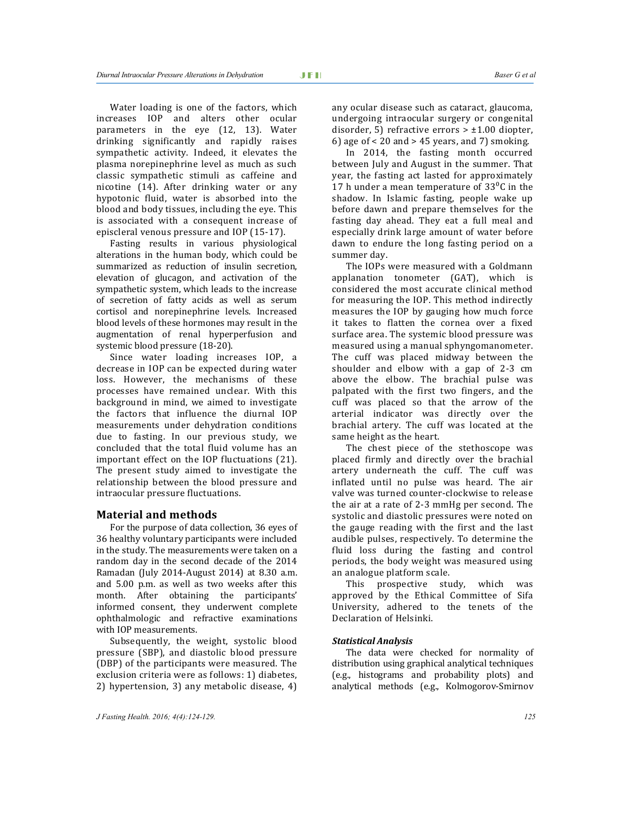Water loading is one of the factors, which increases IOP and alters other ocular parameters in the eye (12, 13). Water drinking significantly and rapidly raises sympathetic activity. Indeed, it elevates the plasma norepinephrine level as much as such classic sympathetic stimuli as caffeine and nicotine (14). After drinking water or any hypotonic fluid, water is absorbed into the blood and body tissues, including the eye. This is associated with a consequent increase of episcleral venous pressure and IOP (15-17).

Fasting results in various physiological alterations in the human body, which could be summarized as reduction of insulin secretion, elevation of glucagon, and activation of the sympathetic system, which leads to the increase of secretion of fatty acids as well as serum cortisol and norepinephrine levels. Increased blood levels of these hormones may result in the augmentation of renal hyperperfusion and systemic blood pressure (18-20).

Since water loading increases IOP, a decrease in IOP can be expected during water loss. However, the mechanisms of these processes have remained unclear. With this background in mind, we aimed to investigate the factors that influence the diurnal IOP measurements under dehydration conditions due to fasting. In our previous study, we concluded that the total fluid volume has an important effect on the IOP fluctuations (21). The present study aimed to investigate the relationship between the blood pressure and intraocular pressure fluctuations.

#### **Material and methods**

For the purpose of data collection, 36 eyes of 36 healthy voluntary participants were included in the study. The measurements were taken on a random day in the second decade of the 2014 Ramadan (July 2014-August 2014) at 8.30 a.m. and 5.00 p.m. as well as two weeks after this month. After obtaining the participants' informed consent, they underwent complete ophthalmologic and refractive examinations with IOP measurements.

Subsequently, the weight, systolic blood pressure (SBP), and diastolic blood pressure (DBP) of the participants were measured. The exclusion criteria were as follows: 1) diabetes, 2) hypertension, 3) any metabolic disease, 4)

any ocular disease such as cataract, glaucoma, undergoing intraocular surgery or congenital disorder, 5) refractive errors  $> \pm 1.00$  diopter, 6) age of  $\lt 20$  and  $> 45$  years, and 7) smoking.

In 2014, the fasting month occurred between July and August in the summer. That year, the fasting act lasted for approximately 17 h under a mean temperature of  $33^{\circ}$ C in the shadow. In Islamic fasting, people wake up before dawn and prepare themselves for the fasting day ahead. They eat a full meal and especially drink large amount of water before dawn to endure the long fasting period on a summer day.

The IOPs were measured with a Goldmann applanation tonometer (GAT), which is considered the most accurate clinical method for measuring the IOP. This method indirectly measures the IOP by gauging how much force it takes to flatten the cornea over a fixed surface area. The systemic blood pressure was measured using a manual sphyngomanometer. The cuff was placed midway between the shoulder and elbow with a gap of 2-3 cm above the elbow. The brachial pulse was palpated with the first two fingers, and the cuff was placed so that the arrow of the arterial indicator was directly over the brachial artery. The cuff was located at the same height as the heart.

The chest piece of the stethoscope was placed firmly and directly over the brachial artery underneath the cuff. The cuff was inflated until no pulse was heard. The air valve was turned counter-clockwise to release the air at a rate of 2-3 mmHg per second. The systolic and diastolic pressures were noted on the gauge reading with the first and the last audible pulses, respectively. To determine the fluid loss during the fasting and control periods, the body weight was measured using an analogue platform scale.

This prospective study, which was approved by the Ethical Committee of Sifa University, adhered to the tenets of the Declaration of Helsinki.

#### *Statistical Analysis*

The data were checked for normality of distribution using graphical analytical techniques (e.g., histograms and probability plots) and analytical methods (e.g., Kolmogorov-Smirnov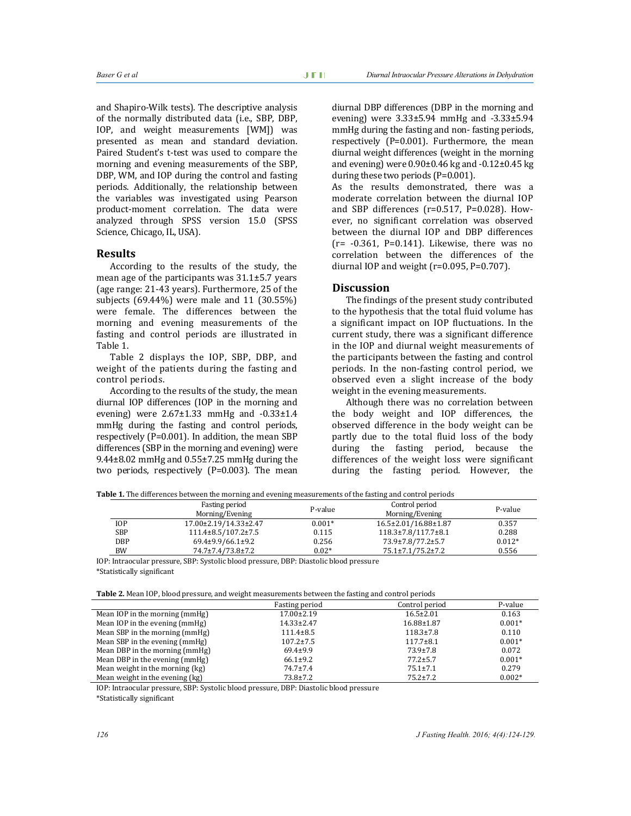and Shapiro-Wilk tests). The descriptive analysis of the normally distributed data (i.e., SBP, DBP, IOP, and weight measurements [WM]) was presented as mean and standard deviation. Paired Student's t-test was used to compare the morning and evening measurements of the SBP, DBP, WM, and IOP during the control and fasting periods. Additionally, the relationship between the variables was investigated using Pearson product-moment correlation. The data were analyzed through SPSS version 15.0 (SPSS Science, Chicago, IL, USA).

#### **Results**

According to the results of the study, the mean age of the participants was 31.1±5.7 years (age range: 21-43 years). Furthermore, 25 of the subjects (69.44%) were male and 11 (30.55%) were female. The differences between the morning and evening measurements of the fasting and control periods are illustrated in Table 1.

Table 2 displays the IOP, SBP, DBP, and weight of the patients during the fasting and control periods.

According to the results of the study, the mean diurnal IOP differences (IOP in the morning and evening) were  $2.67\pm1.33$  mmHg and  $-0.33\pm1.4$ mmHg during the fasting and control periods, respectively (P=0.001). In addition, the mean SBP differences (SBP in the morning and evening) were 9.44±8.02 mmHg and 0.55±7.25 mmHg during the two periods, respectively (P=0.003). The mean diurnal DBP differences (DBP in the morning and evening) were 3.33±5.94 mmHg and -3.33±5.94 mmHg during the fasting and non- fasting periods, respectively (P=0.001). Furthermore, the mean diurnal weight differences (weight in the morning and evening) were 0.90±0.46 kg and -0.12±0.45 kg during these two periods (P=0.001).

As the results demonstrated, there was a moderate correlation between the diurnal IOP and SBP differences (r=0.517, P=0.028). However, no significant correlation was observed between the diurnal IOP and DBP differences  $(r= -0.361, P=0.141)$ . Likewise, there was no correlation between the differences of the diurnal IOP and weight ( $r=0.095$ ,  $P=0.707$ ).

#### **Discussion**

The findings of the present study contributed to the hypothesis that the total fluid volume has a significant impact on IOP fluctuations. In the current study, there was a significant difference in the IOP and diurnal weight measurements of the participants between the fasting and control periods. In the non-fasting control period, we observed even a slight increase of the body weight in the evening measurements.

Although there was no correlation between the body weight and IOP differences, the observed difference in the body weight can be partly due to the total fluid loss of the body during the fasting period, because the differences of the weight loss were significant during the fasting period. However, the

**Table 1.** The differences between the morning and evening measurements of the fasting and control periods

|            | Fasting period<br>Morning/Evening | P-value  | Control period<br>Morning/Evening | P-value  |
|------------|-----------------------------------|----------|-----------------------------------|----------|
| IOP        | 17.00±2.19/14.33±2.47             | $0.001*$ | 16.5±2.01/16.88±1.87              | 0.357    |
| <b>SBP</b> | $111.4\pm8.5/107.2\pm7.5$         | 0.115    | $118.3 \pm 7.8/117.7 \pm 8.1$     | 0.288    |
| DBP        | 69.4±9.9/66.1±9.2                 | 0.256    | 73.9±7.8/77.2±5.7                 | $0.012*$ |
| BW         | 74.7±7.4/73.8±7.2                 | $0.02*$  | 75.1±7.1/75.2±7.2                 | 0.556    |

IOP: Intraocular pressure, SBP: Systolic blood pressure, DBP: Diastolic blood pressure \*Statistically significant

|  |  | Table 2. Mean IOP, blood pressure, and weight measurements between the fasting and control periods |
|--|--|----------------------------------------------------------------------------------------------------|
|--|--|----------------------------------------------------------------------------------------------------|

|                                 | Fasting period   | Control period   | P-value  |
|---------------------------------|------------------|------------------|----------|
| Mean IOP in the morning (mmHg)  | $17.00 \pm 2.19$ | $16.5 \pm 2.01$  | 0.163    |
| Mean IOP in the evening (mmHg)  | $14.33 \pm 2.47$ | $16.88 \pm 1.87$ | $0.001*$ |
| Mean SBP in the morning (mmHg)  | $111.4 \pm 8.5$  | $118.3 \pm 7.8$  | 0.110    |
| Mean SBP in the evening (mmHg)  | $107.2 \pm 7.5$  | $117.7 \pm 8.1$  | $0.001*$ |
| Mean DBP in the morning (mmHg)  | $69.4 \pm 9.9$   | $73.9 \pm 7.8$   | 0.072    |
| Mean DBP in the evening (mmHg)  | $66.1 \pm 9.2$   | $77.2 \pm 5.7$   | $0.001*$ |
| Mean weight in the morning (kg) | $74.7 \pm 7.4$   | $75.1 \pm 7.1$   | 0.279    |
| Mean weight in the evening (kg) | $73.8 \pm 7.2$   | $75.2 \pm 7.2$   | $0.002*$ |

IOP: Intraocular pressure, SBP: Systolic blood pressure, DBP: Diastolic blood pressure \*Statistically significant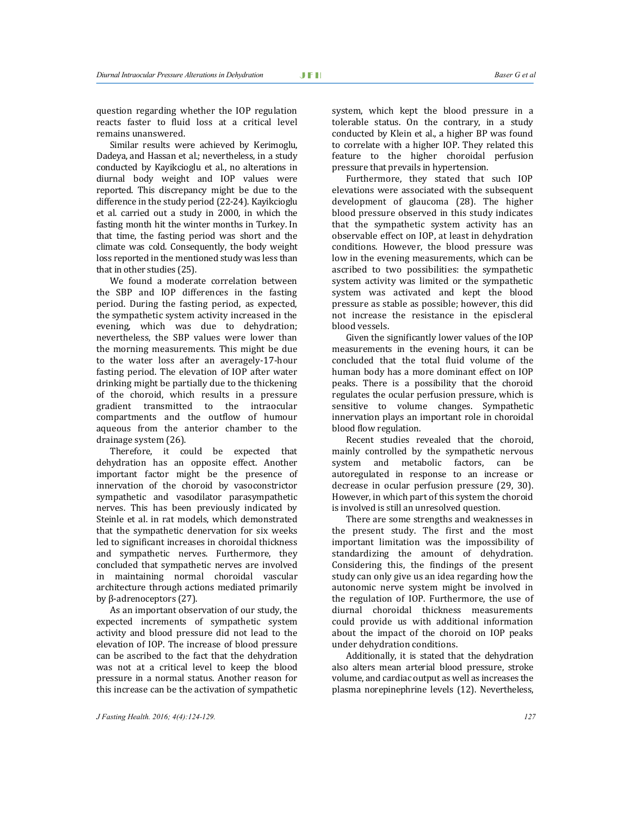question regarding whether the IOP regulation reacts faster to fluid loss at a critical level remains unanswered.

Similar results were achieved by Kerimoglu, Dadeya, and Hassan et al.; nevertheless, in a study conducted by Kayikcioglu et al., no alterations in diurnal body weight and IOP values were reported. This discrepancy might be due to the difference in the study period (22-24). Kayikcioglu et al. carried out a study in 2000, in which the fasting month hit the winter months in Turkey. In that time, the fasting period was short and the climate was cold. Consequently, the body weight loss reported in the mentioned study was less than that in other studies (25).

We found a moderate correlation between the SBP and IOP differences in the fasting period. During the fasting period, as expected, the sympathetic system activity increased in the evening, which was due to dehydration; nevertheless, the SBP values were lower than the morning measurements. This might be due to the water loss after an averagely-17-hour fasting period. The elevation of IOP after water drinking might be partially due to the thickening of the choroid, which results in a pressure gradient transmitted to the intraocular compartments and the outflow of humour aqueous from the anterior chamber to the drainage system (26).

Therefore, it could be expected that dehydration has an opposite effect. Another important factor might be the presence of innervation of the choroid by vasoconstrictor sympathetic and vasodilator parasympathetic nerves. This has been previously indicated by Steinle et al. in rat models, which demonstrated that the sympathetic denervation for six weeks led to significant increases in choroidal thickness and sympathetic nerves. Furthermore, they concluded that sympathetic nerves are involved in maintaining normal choroidal vascular architecture through actions mediated primarily by β-adrenoceptors (27).

As an important observation of our study, the expected increments of sympathetic system activity and blood pressure did not lead to the elevation of IOP. The increase of blood pressure can be ascribed to the fact that the dehydration was not at a critical level to keep the blood pressure in a normal status. Another reason for this increase can be the activation of sympathetic system, which kept the blood pressure in a tolerable status. On the contrary, in a study conducted by Klein et al., a higher BP was found to correlate with a higher IOP. They related this feature to the higher choroidal perfusion pressure that prevails in hypertension.

Furthermore, they stated that such IOP elevations were associated with the subsequent development of glaucoma (28). The higher blood pressure observed in this study indicates that the sympathetic system activity has an observable effect on IOP, at least in dehydration conditions. However, the blood pressure was low in the evening measurements, which can be ascribed to two possibilities: the sympathetic system activity was limited or the sympathetic system was activated and kept the blood pressure as stable as possible; however, this did not increase the resistance in the episcleral blood vessels.

Given the significantly lower values of the IOP measurements in the evening hours, it can be concluded that the total fluid volume of the human body has a more dominant effect on IOP peaks. There is a possibility that the choroid regulates the ocular perfusion pressure, which is sensitive to volume changes. Sympathetic innervation plays an important role in choroidal blood flow regulation.

Recent studies revealed that the choroid, mainly controlled by the sympathetic nervous system and metabolic factors, can be autoregulated in response to an increase or decrease in ocular perfusion pressure (29, 30). However, in which part of this system the choroid is involved is still an unresolved question.

There are some strengths and weaknesses in the present study. The first and the most important limitation was the impossibility of standardizing the amount of dehydration. Considering this, the findings of the present study can only give us an idea regarding how the autonomic nerve system might be involved in the regulation of IOP. Furthermore, the use of diurnal choroidal thickness measurements could provide us with additional information about the impact of the choroid on IOP peaks under dehydration conditions.

Additionally, it is stated that the dehydration also alters mean arterial blood pressure, stroke volume, and cardiac output as well as increases the plasma norepinephrine levels (12). Nevertheless,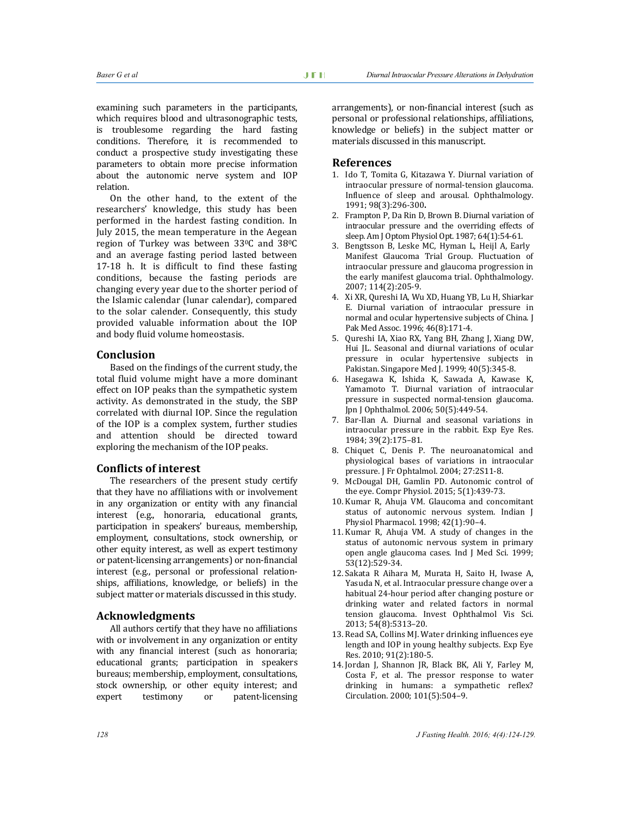examining such parameters in the participants, which requires blood and ultrasonographic tests, is troublesome regarding the hard fasting conditions. Therefore, it is recommended to conduct a prospective study investigating these parameters to obtain more precise information about the autonomic nerve system and IOP relation.

On the other hand, to the extent of the researchers' knowledge, this study has been performed in the hardest fasting condition. In July 2015, the mean temperature in the Aegean region of Turkey was between 33<sup>0</sup>C and 38<sup>0</sup>C and an average fasting period lasted between 17-18 h. It is difficult to find these fasting conditions, because the fasting periods are changing every year due to the shorter period of the Islamic calendar (lunar calendar), compared to the solar calender. Consequently, this study provided valuable information about the IOP and body fluid volume homeostasis.

#### **Conclusion**

Based on the findings of the current study, the total fluid volume might have a more dominant effect on IOP peaks than the sympathetic system activity. As demonstrated in the study, the SBP correlated with diurnal IOP. Since the regulation of the IOP is a complex system, further studies and attention should be directed toward exploring the mechanism of the IOP peaks.

#### **Conflicts of interest**

The researchers of the present study certify that they have no affiliations with or involvement in any organization or entity with any financial interest (e.g., honoraria, educational grants, participation in speakers' bureaus, membership, employment, consultations, stock ownership, or other equity interest, as well as expert testimony or patent-licensing arrangements) or non-financial interest (e.g., personal or professional relationships, affiliations, knowledge, or beliefs) in the subject matter or materials discussed in this study.

#### **Acknowledgments**

All authors certify that they have no affiliations with or involvement in any organization or entity with any financial interest (such as honoraria; educational grants; participation in speakers bureaus; membership, employment, consultations, stock ownership, or other equity interest; and expert testimony or patent-licensing

arrangements), or non-financial interest (such as personal or professional relationships, affiliations, knowledge or beliefs) in the subject matter or materials discussed in this manuscript.

#### **References**

- 1. Ido T, Tomita G, Kitazawa Y. Diurnal variation of intraocular pressure of normal-tension glaucoma. Influence of sleep and arousal. Ophthalmology. 1991; 98(3):296-300**.**
- 2. Frampton P, Da Rin D, Brown B. Diurnal variation of intraocular pressure and the overriding effects of sleep. Am J Optom Physiol Opt. 1987; 64(1):54-61.
- 3. Bengtsson B, Leske MC, Hyman L, Heijl A, Early Manifest Glaucoma Trial Group. Fluctuation of intraocular pressure and glaucoma progression in the early manifest glaucoma trial. Ophthalmology. 2007; 114(2):205-9.
- 4. Xi XR, Qureshi IA, Wu XD, Huang YB, Lu H, Shiarkar E. Diurnal variation of intraocular pressure in normal and ocular hypertensive subjects of China. J Pak Med Assoc. 1996; 46(8):171-4.
- 5. Qureshi IA, Xiao RX, Yang BH, Zhang J, Xiang DW, Hui JL. Seasonal and diurnal variations of ocular pressure in ocular hypertensive subjects in Pakistan. Singapore Med J. 1999; 40(5):345-8.
- 6. Hasegawa K, Ishida K, Sawada A, Kawase K, Yamamoto T. Diurnal variation of intraocular pressure in suspected normal-tension glaucoma. Jpn J Ophthalmol. 2006; 50(5):449-54.
- 7. Bar-Ilan A. Diurnal and seasonal variations in intraocular pressure in the rabbit. Exp Eye Res. 1984; 39(2):175–81.
- 8. Chiquet C, Denis P. The neuroanatomical and physiological bases of variations in intraocular pressure. J Fr Ophtalmol. 2004; 27:2S11-8.
- 9. McDougal DH, Gamlin PD. Autonomic control of the eye. Compr Physiol. 2015; 5(1):439-73.
- 10. Kumar R, Ahuja VM. Glaucoma and concomitant status of autonomic nervous system. Indian J Physiol Pharmacol. 1998; 42(1):90–4.
- 11. Kumar R, Ahuja VM. A study of changes in the status of autonomic nervous system in primary open angle glaucoma cases. Ind J Med Sci. 1999; 53(12):529-34.
- 12. Sakata R Aihara M, Murata H, Saito H, Iwase A, Yasuda N, et al. Intraocular pressure change over a habitual 24-hour period after changing posture or drinking water and related factors in normal tension glaucoma. Invest Ophthalmol Vis Sci. 2013; 54(8):5313–20.
- 13. Read SA, Collins MJ. Water drinking influences eye length and IOP in young healthy subjects. Exp Eye Res. 2010; 91(2):180-5.
- 14. Jordan J, Shannon JR, Black BK, Ali Y, Farley M, Costa F, et al. The pressor response to water drinking in humans: a sympathetic reflex? Circulation. 2000; 101(5):504–9.